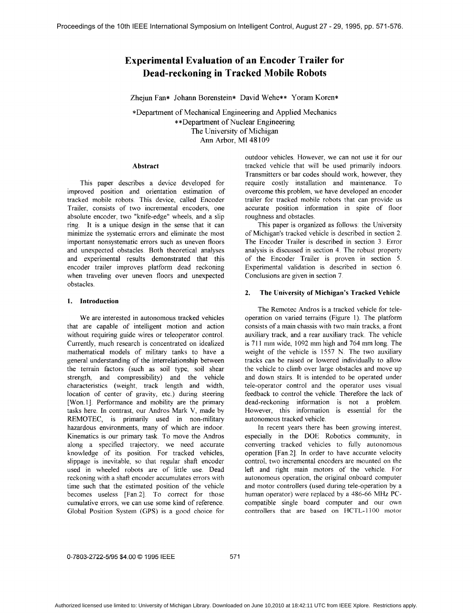# **Experimental Evaluation of an Encoder Trailer for Dead-reckoning in Tracked Mobile Robots**

Zhejun Fan\* Johann Borenstein\* David Wehe\*\* Yoram Koren\*

\*Department of Mechanical Engineering and Applied Mechanics \*\*Department of Nuclear Engineering The University of Michigan *Ann* Arbor. MI **48109** 

#### **Abstract**

This paper describes a device developed for improved position and orientation estimation of tracked mobile robots. This device, called Encoder Trailer, consists of two incremental encoders, one absolute encoder, two "knife-edge" wheels, and a slip ring. It is a unique design in the sense that it can minimize the systematic errors and eliminate the most important nonsystematic errors such as uneven floors and unexpected obstacles. Both theoretical analyses and experimental results demonstrated that this encoder trailer improves platform dead reckoning when traveling over uneven floors and unexpected obstacles.

## **1. Introduction**

We are interested in autonomous tracked vehicles that are capable of intelligent motion and action without requiring guide wires or teleoperator control. Currently, much research is concentrated on idealized mathematical models of military tanks to have a general understanding of the interrelationship between the terrain factors (such as soil type, soil shear strength, and compressibility) and the vehicle characteristics (weight, track length and width, location of center of gravity, etc.) during steering [Won.1]. Performance and mobility are the primary tasks here. In contrast, our Andros Mark V, made by REMOTEC, is primarily used in non-military hazardous environments, many of which are indoor. Kinematics is our primary task. To move the Andros along a specified trajectory, we need accurate knowledge of its position. For tracked vehicles, slippage is inevitable, so that regular shaft encoder used in wheeled robots are of little use. Dead reckoning with a shaft encoder accumulaies errors with time such that the estimated position of the vehicle becomes useless [Fan.2]. To correct for those cumulative errors, we can use some kind of reference. Global Position System (GPS) is a good choice for

outdoor vehicles. However, we can not use it for our tracked vehicle that will be used primarily indoors. Transmitters or bar codes should work, however, they require costly installation and maintenance. To overcome this problem, we have developed an encoder trailer for tracked mobile robots that can provide us accurate position information in spite of floor roughness and obstacles.

This paper is organized as follows: the University of Michigan's tracked vehicle is described in section 2. The Encoder Trailer is described in section **3.** Error analysis is discussed in section 4. The robust property of the Encoder Trailer is proven in section 5. Experimental validation is described in section 6. Conclusions are given in section 7.

#### **2. The University of Michigan's Tracked Vehicle**

The Remotec Andros is a tracked vehicle for teleoperation on varied terrains (Figure **1)** The platform consists of a main chassis with two main tracks, a front auxiliary track, and a rear auxiliary track The vehicle is  $711$  mm wide,  $1092$  mm high and  $764$  mm long. The weight of the vehicle is  $1557$  N. The two auxiliary tracks can be raised or lowered individually to allow the vehicle to climb over large obstacles and move up and down stairs. It is intended to be operated under tele-operator control and the operator uses visual feedback to control the vehicle Therefore the lack of dead-reckoning information is not a problem However, this information is essential for the autonomous tracked vehicle

In recent years there has been growing interest, especially in the DOE Robotics community, in converting tracked vehicles to fidly autonomous operation [Fan.2]. In order to have accurate velocity control, two incremental encoders are mounted on the left and right main motors of the vehicle For autonomous operation, the original onboard computer and motor controllers (used during tele-operation by a human operator) were replaced by a 486-66 **MHz** PCcompatible single board computer and our own controllers that are based on HCTL-I 100 motor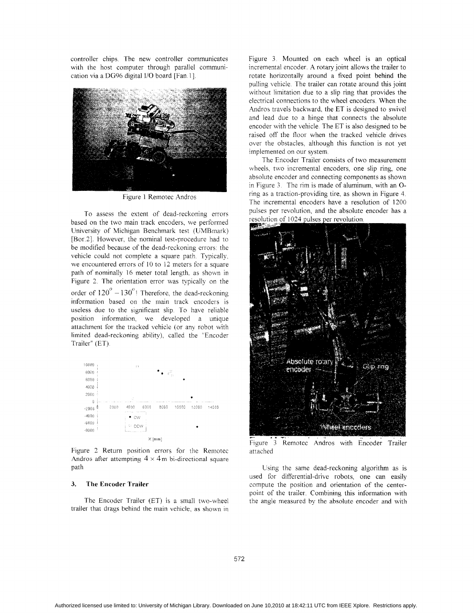controller chips. The new controller communicates with the host computer through parallel communication via a DG96 digital *U0* board [Fan I]



Figure 1 Remotec Andros

To assess the extent of dead-reckoning errors based on the two main track encoders, we performed University of Michigan Benchmark test (UMBmark) [Bor.2]. However, the nominal test-procedure had to be modified because of the dead-reckoning errors; the vehicle could not complete a square path. Typically, we encountered errors of 10 to 12 meters for a square path of nominally 16 meter total length. as shown in Figure 2. The orientation error was typically on the order of  $120^{\circ} - 130^{\circ}$  Therefore, the dead-reckoning information based on the main track encoders is useless due to the significant slip. To have reliable position information, we developed a unique attachment for the tracked vehicle (or any robot with limited dead-reckoning ability), called the "Encoder Trailer" (ET).



Figure 2 Return position errors for the Remotec Andros after attempting  $4 \times 4$ m bi-directional square path

#### **3. The Encoder Trailer**

The Encoder Trailer (ET) is a small two-wheel trailer that drags behind the main vehicle. as shown in Figure *3.* Mounted on each wheel is an optical incremental encoder. **A** rotary joint allows the trailer to rotate horizontally around a fixed point behind the pulling vehicle The trailer can rotate around this joint without limitation due to a slip ring that provides the electrical connections to the wheel encoders. When the Andros travels backward, the ET is designed to swivel and lead due to a hinge that connects the absolute encoder with the vehicle. The ET is also designed to be raised off the floor when the tracked vehicle drives over the obstacles, although this function is not yet implemented on our system.

The Encoder Trailer consists of two measurement wheels. two incremental encoders, one slip ring, one absolute encoder and connecting components as shown in Figure 3. The rim is made of aluminum, with an Oring as a traction-providing tire, as shown in [Figure 4.](#page-2-0) The incremental encoders have a resolution of 1200 pulses per revolution, and the absolute encoder has a resolution of 1024 pulses per revolution.



Figure 3 Remotec Andros with Encoder Trailer attached

Using the same dead-reckoning algorithm as is used for differential-drive robots, one can easily compute the position and orientation of the centerpoint of the trailer. Combining this information with the angle measured by the absolute encoder and with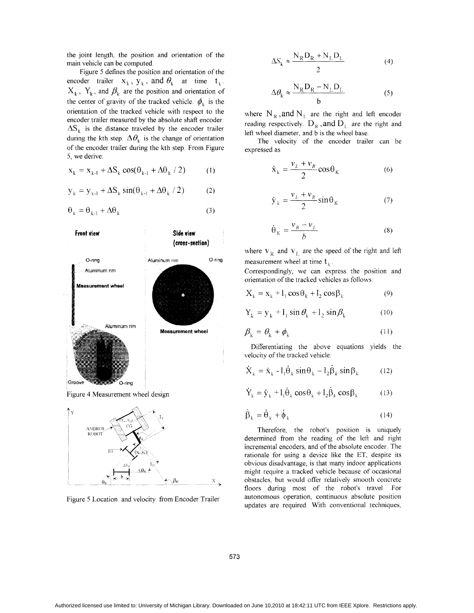<span id="page-2-0"></span>the joint length, the position and orientation of the main vehicle can be computed.

Figure *5* defines the position and orientation of the encoder trailer  $x_k$ ,  $y_k$ , and  $\theta_k$  at time  $t_k$ .  $X_k$ ,  $Y_k$ , and  $\beta_k$  are the position and orientation of the center of gravity of the tracked vehicle.  $\phi_k$  is the orientation of the tracked vehicle with respect to the encoder trailer measured by the absolute shaft encoder.  $\Delta S_k$  is the distance traveled by the encoder trailer during the kth step.  $\Delta\theta_k$  is the change of orientation of the encoder trailer during the kth step. From Figure *5,* we derive:

$$
x_k = x_{k-1} + \Delta S_k \cos(\theta_{k-1} + \Delta \theta_k / 2) \tag{1}
$$

$$
y_k = y_{k-1} + \Delta S_k \sin(\theta_{k-1} + \Delta \theta_k / 2)
$$
 (2)

$$
\Theta_k = \Theta_{k-1} + \Delta\Theta_k \tag{3}
$$



Figure 4 Measurement wheel design



$$
\Delta S_{\mathbf{k}} \approx \frac{N_{\mathbf{R}} D_{\mathbf{R}} + N_{\mathbf{L}} D_{\mathbf{L}}}{2} \tag{4}
$$

$$
\Delta \theta_{\rm k} \approx \frac{N_{\rm R} D_{\rm R} - N_{\rm L} D_{\rm L}}{b} \tag{5}
$$

where  $N_R$ , and  $N_L$  are the right and left encoder reading respectively.  $D_p$ , and  $D_i$  are the right and left wheel diameter, and b is the wheel base

The velocity of the encoder trailer can be expressed as

$$
\dot{\mathbf{x}}_{k} = \frac{\mathbf{v}_{L} + \mathbf{v}_{R}}{2} \cos \theta_{K} \tag{6}
$$

$$
\dot{\mathbf{x}}_{k} = \frac{\mathbf{v}_{L} + \mathbf{v}_{R}}{2} \cos \theta_{K}
$$
\n
$$
\dot{\mathbf{y}}_{k} = \frac{\mathbf{v}_{L} + \mathbf{v}_{R}}{2} \sin \theta_{K}
$$
\n(7)

$$
\dot{\Theta}_{K} = \frac{v_{R} - v_{L}}{b}
$$
 (8)

where  $V_R$  and  $V_L$  are the speed of the right and left measurement wheel at time  $t_{\text{t}}$ .

Correspondingly, we can express the position and orientation of the tracked vehicles as follows

$$
X_k = x_k + l_1 \cos \theta_k + l_2 \cos \beta_k \tag{9}
$$

$$
Y_k = y_k + l_1 \sin \theta_k + l_2 \sin \beta_k \tag{10}
$$

$$
\beta_{k} = \theta_{k} + \phi_{k} \tag{11}
$$

Differentiating the above equations yields the velocity of the tracked vehicle

$$
\dot{\mathbf{X}}_{k} = \dot{\mathbf{x}}_{k} - \mathbf{l}_{1} \dot{\theta}_{k} \sin \theta_{k} - \mathbf{l}_{2} \dot{\beta}_{k} \sin \beta_{k} \tag{12}
$$

$$
\dot{Y}_k = \dot{y}_k + I_1 \dot{\theta}_k \cos \theta_k + I_2 \dot{\beta}_k \cos \beta_k \tag{13}
$$

$$
\dot{\beta}_k = \dot{\theta}_k + \dot{\phi}_k \tag{14}
$$

Therefore, the robot's position is uniquely determined from the reading of the left and right incremental encoders, and of the absolute encoder. The rationale for using a device like the ET, despite its obvious disadvantage, is that many indoor applications might require a tracked vehicle because of occasional floors during most of the robot's travel For  $X<sub>x</sub>$  obstacles, but would offer relatively smooth concrete Figure 5 Location and velocity from Encoder Trailer autonomous operation, continuous absolute position updates are required. With conventional techniques,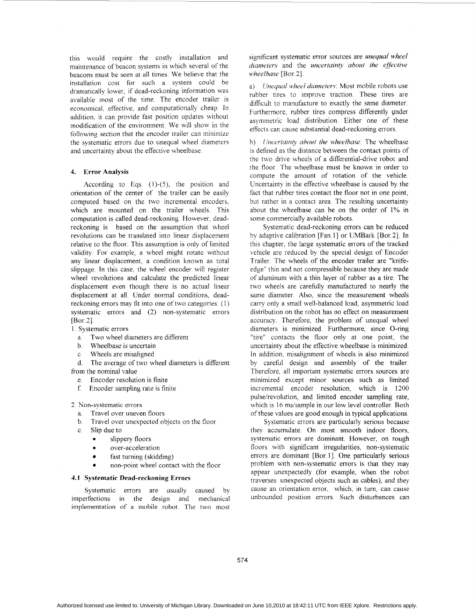this would require the costly installation and maintenance of beacon systems in which several of the beacons must be seen at all times. We believe that the installation cost for such a system could be dramatically lower, if dead-reckoning information was available most of the time. The encoder trailer is economical, effective, and computationally cheap. In addition, it can provide fast position updates without modification of the environment We will show in the following section that the encoder trailer can minimize the systematic errors due to unequal wheel diameters and uncertainty about the effective wheelbase

## **4. Error Analysis**

According to Eqs. (1)-(5), the position and orientation of the center of the trailer can be easily computed based on the two incremental encoders, which are mounted on the trailer wheels. This computation is called dead-reckoning. However, deadreckoning is based on the assumption that wheel revolutions can be translated into linear displacement relative to the floor. This assumption is only of limited validity. For example, a wheel might rotate without any linear displacement, a condition known as total slippage. In this case, the wheel encoder will register wheel revolutions and calculate the predicted linear displacement even though there is no actual linear displacement at all. Under normal conditions, deadreckoning errors may fit into one of two categories: (1) systematic errors and (2) non-systematic errors [Bor.2j.

- I. Systematic errors
	- a Two wheel diameters are different
	- b. Wheelbase is uncertain
	- $\mathcal{C}$ Wheels are misaligned

d. from the nominal value The average of two wheel diameters is different

- e. Encoder resolution is finite
- f. Encoder sampling rate is finite
- 2 Non-systematic errors
	- a. Travel over uneven floors
	- b Travel over unexpected objects on the floor
	- c. Slip due to
		- slippery floors
		- *0* over-acceleration
		- fast turning (skidding)
		- non-point wheel contact with the floor

## **4.1 Systematic Dead-reckoning Errors**

Systematic errors are usually caused by imperfections in the design and mechanical implementation of a mobile robot The two most

significant systematic error sources are *unequal wheel diameters* and the *inzcertuinty abozrt the* effective *Mbheelhase* [Bor 21.

a) *Unequal wheel diameters:* Most mobile robots use rubber tires to improve traction. These tires are difficult to manufacture to exactly the same diameter. Furthermore, rubber tires compress differently under asymmetric load distribution. Either one of these effects can cause substantial dead-reckoning errors.

b) *lncertainty about the wheelbase:* The wheelbase is defined as the distance between the contact points of the two drive wheels of a differential-drive robot and the floor. The wheelbase must be known in order to compute the amount of rotation of the vehicle. Uncertainty in the effective wheelbase is caused by the fact that rubber tires contact the floor not in one point, but rather in a contact area. The resulting uncertainty about the wheelbase can be on the order of 1% in some commercially available robots.

Systematic dead-reckoning errors can be reduced by adaptive calibration [Fan. 1] or  $UMBark$  [Bor.2]. In this chapter, the large systematic errors of the tracked vehicle are reduced by the special design of Encoder Trailer. The wheels of the encoder trailer are "knifeedge" thin and not compressible because they are made of aluminum with a thin layer of rubber as a tire. The two wheels are carefdly manufactured to nearly the same diameter. *Also,* since the measurement wheels carry only a small well-balanced load, asymmetric load distribution on the robot has no effect on measurement accuracy. Therefore, the problem of unequal wheel diameters is minimized. Furthermore, since O-ring "tire" contacts the floor only at one point, the uncertainty about the effective wheelbase is minimized. In addition, misalignment of wheels is also minimized by careful design and assembly of the trailer. Therefore, all important systematic errors sources are minimized except minor sources such as limited incremental encoder resolution, which is 1200 pulse/revolution, and limited encoder sampling rate, which is 16 ms/sample in our low level controller. Both of these values are good enough in typical applications.

Systematic errors are particularly serious because they accumulate. On most smooth indoor floors, systematic errors are dominant. However, on rough floors with significant irregularities, non-systematic errors are dominant [Bor.1]. One particularly serious problem with non-systematic errors is that they may appear unexpectedly (for example, when the robot traverses unexpected objects such as cables), and they cause an orientation error, which, in turn, can cause unbounded position errors. Such disturbances can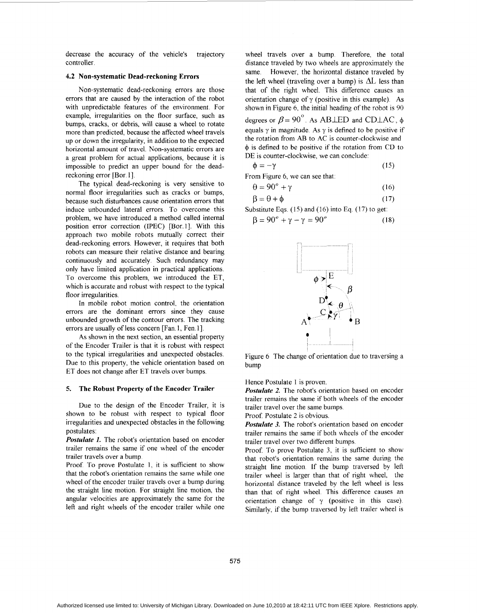decrease the accuracy of the vehicle's controller. trajectory

## **4.2 Non-systematic Dead-reckoning Errors**

Non-systematic dead-reckoning errors are those errors that are caused by the interaction of the robot with unpredictable features of the environment. For example, irregularities on the floor surface, such as bumps, cracks, or debris, will cause a wheel to rotate more than predicted, because the affected wheel travels up or down the irregularity, in addition to the expected horizontal amount of travel. Non-systematic errors are a great problem for actual applications, because it is impossible to predict an upper bound for the deadreckoning error [Bor. I].

The typical dead-reckoning is very sensitive to normal floor irregularities such as cracks or bumps, because such disturbances cause orientation errors that induce unbounded lateral errors. To overcome this problem, we have introduced a method called internal position error correction **(IPEC)** [Bor. I]. With this approach two mobile robots mutually correct their dead-reckoning errors. However, it requires that both robots can measure their relative distance and bearing continuously and accurately. Such redundancy may only have limited application in practical applications. To overcome this problem, we introduced the ET, which is accurate and robust with respect to the typical floor irregularities.

In mobile robot motion control, the orientation errors are the dominant errors since they cause unbounded growth of the contour errors. The tracking errors are usually of less concern [Fan. 1, Fen. 11.

**As** shown in the next section, an essential property of the Encoder Trailer is that it is robust with respect to the typical irregularities and unexpected obstacles. Due to this property, the vehicle orientation based on ET does not change after ET travels over bumps.

## *5.* **The Robust Property of the Encoder Trailer**

Due to the design of the Encoder Trailer, it is shown to be robust with respect to typical floor irregularities and unexpected obstacles in the following postulates

*Postulate 1.* The robot's orientation based on encoder trailer remains the same if one wheel of the encoder trailer travels over a bump

Proof. To prove Postulate 1, it is sufficient to show that the robot's orientation remains the same while one wheel of the encoder trailer travels over a bump during the straight line motion For straight line motion, the angular velocities are approximately the same for the left and right wheels of the encoder trailer while one

wheel travels over a bump. Therefore, the total distance traveled by two wheels are approximately the same. However, the horizontal distance traveled by the left wheel (traveling over a bump) is  $\Delta L$  less than that of the right wheel. This difference causes an orientation change of y (positive in this example). **As**  shown in Figure 6, the initial heading of the robot is 90

degrees or  $\beta = 90^\circ$ . As ABLED and CDLAC,  $\phi$ equals  $\gamma$  in magnitude. As  $\gamma$  is defined to be positive if the rotation from AB to **AC** is counter-clockwise and **4** is defined to be positive if the rotation from CD to DE is counter-clockwise, we can conclude:

$$
\phi = -\gamma \tag{15}
$$

From Figure 6, we can see that:

$$
\theta = 90^{\circ} + \gamma \tag{16}
$$

$$
\beta = \theta + \phi \tag{17}
$$

Substitute Eqs. (15) and (16) into Eq. (17) to get:  
\n
$$
\beta = 90^{\circ} + \gamma - \gamma = 90^{\circ}
$$
\n(18)



Figure 6 The change of orientation due to traversing a bump

## Hence Postulate 1 is proven.

*Postulate 2.* The robot's orientation based on encoder trailer remains the same if both wheels of the encoder trailer travel over the same bumps.

Proof. Postulate 2 is obvious.

*Postulate 3.* The robot's orientation based on encoder trailer remains the same if both wheels of the encoder trailer travel over two different bumps.

Proof. To prove Postulate 3, it is sufficient to show that robot's orientation remains the same during the straight line motion. If the bump traversed by left trailer wheel is larger than that of right wheel, the horizontal distance traveled by the left wheel is less than that of right wheel. This difference causes an orientation change of  $\gamma$  (positive in this case). Similarly, if the bump traversed by left trailer wheel is